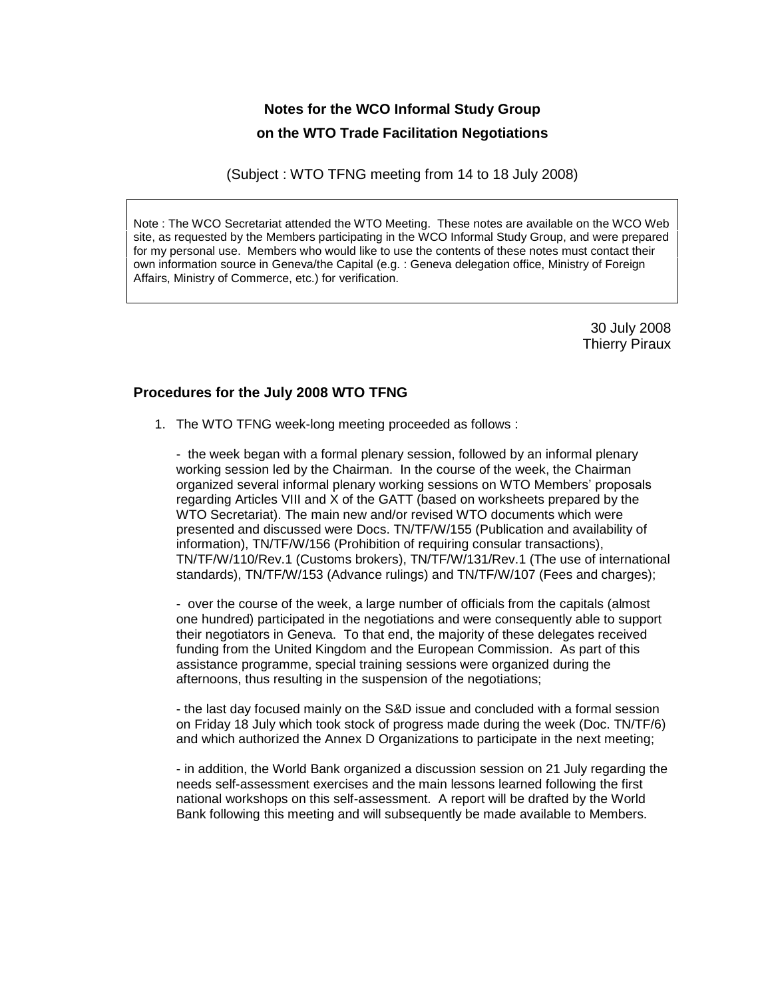# **Notes for the WCO Informal Study Group on the WTO Trade Facilitation Negotiations**

(Subject : WTO TFNG meeting from 14 to 18 July 2008)

Note : The WCO Secretariat attended the WTO Meeting. These notes are available on the WCO Web site, as requested by the Members participating in the WCO Informal Study Group, and were prepared for my personal use. Members who would like to use the contents of these notes must contact their own information source in Geneva/the Capital (e.g. : Geneva delegation office, Ministry of Foreign Affairs, Ministry of Commerce, etc.) for verification.

> 30 July 2008 Thierry Piraux

## **Procedures for the July 2008 WTO TFNG**

1. The WTO TFNG week-long meeting proceeded as follows :

- the week began with a formal plenary session, followed by an informal plenary working session led by the Chairman. In the course of the week, the Chairman organized several informal plenary working sessions on WTO Members<sup>í</sup> proposals regarding Articles VIII and X of the GATT (based on worksheets prepared by the WTO Secretariat). The main new and/or revised WTO documents which were presented and discussed were Docs. TN/TF/W/155 (Publication and availability of information), TN/TF/W/156 (Prohibition of requiring consular transactions), TN/TF/W/110/Rev.1 (Customs brokers), TN/TF/W/131/Rev.1 (The use of international standards), TN/TF/W/153 (Advance rulings) and TN/TF/W/107 (Fees and charges);

- over the course of the week, a large number of officials from the capitals (almost one hundred) participated in the negotiations and were consequently able to support their negotiators in Geneva. To that end, the majority of these delegates received funding from the United Kingdom and the European Commission. As part of this assistance programme, special training sessions were organized during the afternoons, thus resulting in the suspension of the negotiations;

- the last day focused mainly on the S&D issue and concluded with a formal session on Friday 18 July which took stock of progress made during the week (Doc. TN/TF/6) and which authorized the Annex D Organizations to participate in the next meeting;

- in addition, the World Bank organized a discussion session on 21 July regarding the needs self-assessment exercises and the main lessons learned following the first national workshops on this self-assessment. A report will be drafted by the World Bank following this meeting and will subsequently be made available to Members.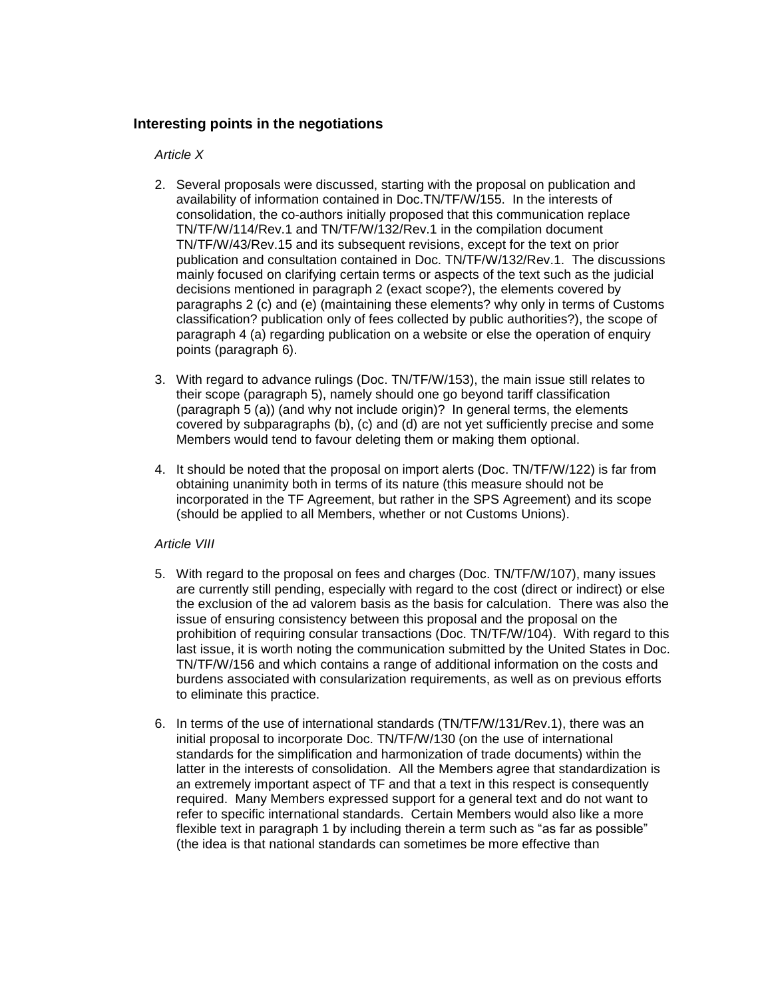## **Interesting points in the negotiations**

#### Article X

- 2. Several proposals were discussed, starting with the proposal on publication and availability of information contained in Doc.TN/TF/W/155. In the interests of consolidation, the co-authors initially proposed that this communication replace TN/TF/W/114/Rev.1 and TN/TF/W/132/Rev.1 in the compilation document TN/TF/W/43/Rev.15 and its subsequent revisions, except for the text on prior publication and consultation contained in Doc. TN/TF/W/132/Rev.1. The discussions mainly focused on clarifying certain terms oraspects of the text such as the judicial decisions mentioned in paragraph 2 (exact scope?), the elements covered by paragraphs 2 (c) and (e) (maintaining these elements? why only in terms of Customs classification? publication only of fees collected by public authorities?), the scope of paragraph 4 (a) regarding publication on a website or else the operation of enquiry points (paragraph 6).
- 3. With regard to advance rulings (Doc. TN/TF/W/153), the main issue still relates to their scope (paragraph 5), namely should one go beyond tariff classification (paragraph  $5$  (a)) (and why not include origin)? In general terms, the elements covered by subparagraphs (b), (c) and (d) are not yet sufficiently precise and some Members would tend to favour deleting them or making them optional.<br>4. It should be noted that the proposal on import alerts (Doc. TN/TF/W/122) is far from
- obtaining unanimity both in terms of its nature (this measure should not be incorporated in the TF Agreement, but rather in the SPS Agreement) and its scope (should be applied to all Members, whether or not Customs Unions).

### Article VIII

- 5. With regard to the proposal on fees and charges (Doc. TN/TF/W/107), many issues are currently still pending, especially with regard to the cost(direct or indirect) or else the exclusion of the ad valorem basis as the basis for calculation. There was also the issue of ensuring consistency between this proposal and the proposal on the prohibition of requiring consular transactions (Doc. TN/TF/W/104). With regard to this last issue, it is worth noting the communication submitted by the United States in Doc. TN/TF/W/156 and which contains a range of additional information on the costs and burdens associated with consularization requirements, as wellas on previous efforts to eliminate this practice.
- 6. In terms of the use of international standards (TN/TF/W/131/Rev.1), there was an initial proposal to incorporate Doc. TN/TF/W/130 (on the use of international standards for the simplification and harmonization of trade documents) within the latter in the interests of consolidation. All the Members agree that standardization is an extremely important aspect of TF and that a text in this respect is consequently required. Many Members expressed support for a general text and do not want to refer to specific international standards. Certain Members would also like a more flexible text in paragraph 1 by including therein a term such refer to specific international standards. Certain Members would also like a more (the idea is that national standards can sometimes be more effective than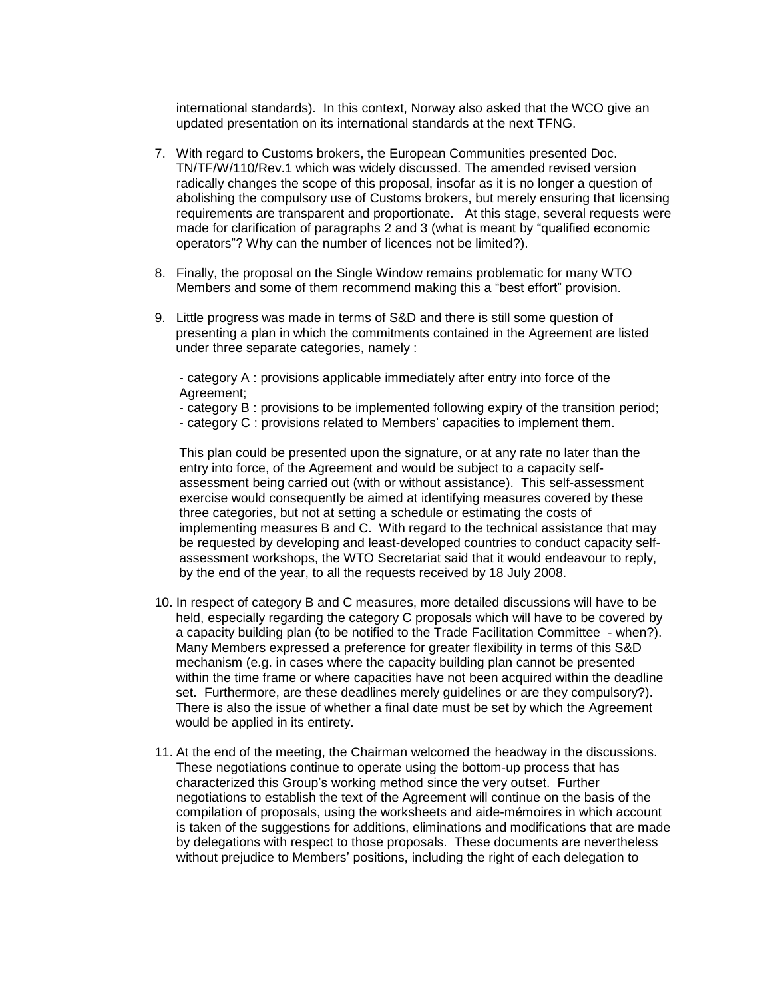international standards). In this context, Norway also asked that the WCO give an updated presentation on its international standards at the next TFNG.

- 7. With regard to Customs brokers, the European Communities presented Doc. TN/TF/W/110/Rev.1 which was widely discussed. The amended revised version radically changes the scope of this proposal, insofar as it is no longer a question of abolishing the compulsory use of Customs brokers, but merely ensuring that licensing requirements are transparent and proportionate. At this stage, several requests were made for clarification of paragraphs 2 and 3 (what is meant by <sup>of a</sup>qualified economic made for clarification of paragraphs 2 and 3 (what is meant by "qualified economic requirements are transparent and proportionate. At this stage, see made for clarification of paragraphs 2 and 3 (what is meant by "que operators"? Why can the number of licences not be limited?).
- 8. Finally, the proposal on the Single Window remains problematic for many WTO France Pronty current making to increase them remined by<br>Finally, the proposal on the Single Window remains problematic for many WTO<br>Members and some of them recommend making this a "best effort" provision.
- 9. Little progress was made in terms of S&D and there is still some question of presenting a plan in which the commitments contained in the Agreement are listed under three separate categories, namely :

- category A : provisions applicable immediately after entry into force of the Agreement; Agreement;<br>- category B : provisions to be implemented following expiry of the transition peri<br>- category C : provisions related to Members' capacities to implement them.

- category B : provisions to be implemented following expiry of the transition period;
- 

This plan could be presented upon the signature, or at any rate no later than the entry into force, of the Agreement and would be subject to a capacity self assessment being carried out (with or without assistance). This self-assessment exercise would consequently be aimed at identifying measures covered by these three categories, but not at setting a schedule or estimating the costs of implementing measures B and C. With regard to the technical assistance thatmay be requested by developing and least-developed countries to conduct capacity self assessment workshops, the WTO Secretariat said that it would endeavour to reply, by the end of the year, to all the requests received by 18 July 2008.

- 10. In respect of category B and C measures, more detailed discussions will have to be held, especially regarding the category C proposals which will have to be covered by a capacity building plan (to be notified to the Trade Facilitation Committee - when?). Many Members expressed a preference for greater flexibility in terms of this S&D mechanism (e.g. in cases where the capacity building plan cannot be presented within the time frame or where capacities have not been acquired within the deadline set. Furthermore, are these deadlines merely guidelines or are they compulsory?). There is also the issue of whether a final date must be set by which the Agreement would be applied in its entirety.
- 11. At the end of the meeting, the Chairman welcomed the headway in the discussions.<br>These negotiations continue to operate using the bottom-up process that has<br>characterized this Group's working method since the very outs These negotiations continue to operate using the bottom-up process that has negotiations to establish the text of the Agreement will continue on the basis of the characterized this Group's working method since the very outset. Further<br>negotiations to establish the text of the Agreement will continue on the basis of the<br>compilation of proposals, using the worksheets and aide-mémoire is taken of the suggestions for additions, eliminations and modifications that are made by delegations with respect to those proposals. These documents are nevertheless compilation of proposals, using the worksheets and aide-mémoires in which account<br>is taken of the suggestions for additions, eliminations and modifications that are made<br>by delegations with respect to those proposals. Thes